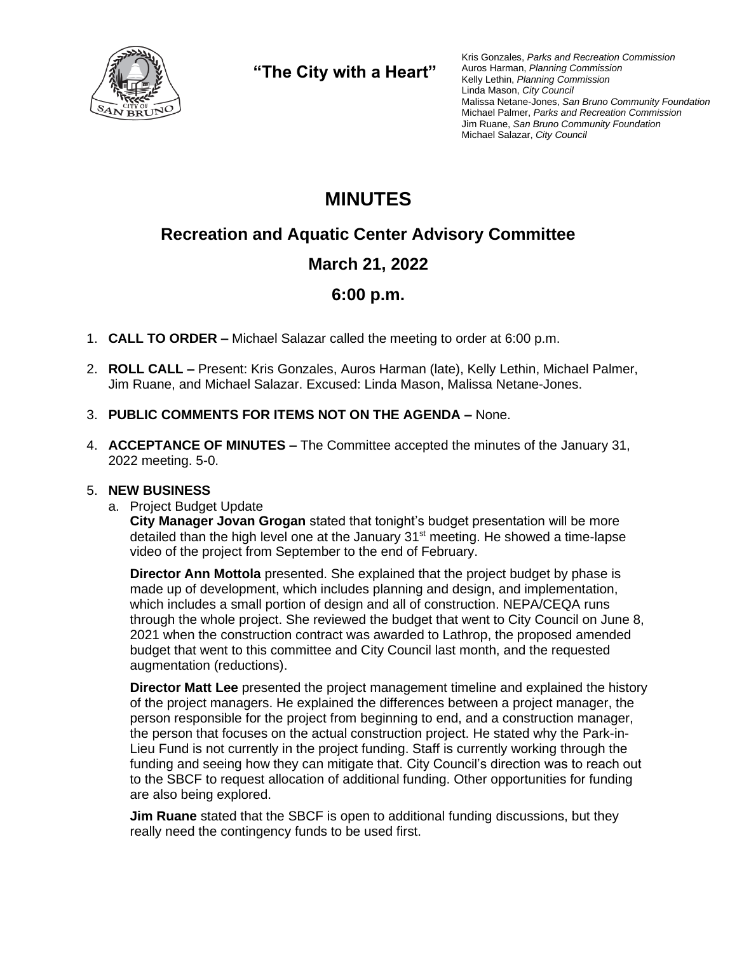

**"The City with a Heart"**

Kris Gonzales, *Parks and Recreation Commission* Auros Harman, *Planning Commission* Kelly Lethin, *Planning Commission* Linda Mason, *City Council* Malissa Netane-Jones, *San Bruno Community Foundation* Michael Palmer, *Parks and Recreation Commission* Jim Ruane, *San Bruno Community Foundation* Michael Salazar, *City Council*

# **MINUTES**

## **Recreation and Aquatic Center Advisory Committee**

### **March 21, 2022**

### **6:00 p.m.**

- 1. **CALL TO ORDER –** Michael Salazar called the meeting to order at 6:00 p.m.
- 2. **ROLL CALL –** Present: Kris Gonzales, Auros Harman (late), Kelly Lethin, Michael Palmer, Jim Ruane, and Michael Salazar. Excused: Linda Mason, Malissa Netane-Jones.
- 3. **PUBLIC COMMENTS FOR ITEMS NOT ON THE AGENDA –** None.
- 4. **ACCEPTANCE OF MINUTES –** The Committee accepted the minutes of the January 31, 2022 meeting. 5-0.

#### 5. **NEW BUSINESS**

a. Project Budget Update

**City Manager Jovan Grogan** stated that tonight's budget presentation will be more detailed than the high level one at the January 31<sup>st</sup> meeting. He showed a time-lapse video of the project from September to the end of February.

**Director Ann Mottola** presented. She explained that the project budget by phase is made up of development, which includes planning and design, and implementation, which includes a small portion of design and all of construction. NEPA/CEQA runs through the whole project. She reviewed the budget that went to City Council on June 8, 2021 when the construction contract was awarded to Lathrop, the proposed amended budget that went to this committee and City Council last month, and the requested augmentation (reductions).

**Director Matt Lee** presented the project management timeline and explained the history of the project managers. He explained the differences between a project manager, the person responsible for the project from beginning to end, and a construction manager, the person that focuses on the actual construction project. He stated why the Park-in-Lieu Fund is not currently in the project funding. Staff is currently working through the funding and seeing how they can mitigate that. City Council's direction was to reach out to the SBCF to request allocation of additional funding. Other opportunities for funding are also being explored.

**Jim Ruane** stated that the SBCF is open to additional funding discussions, but they really need the contingency funds to be used first.